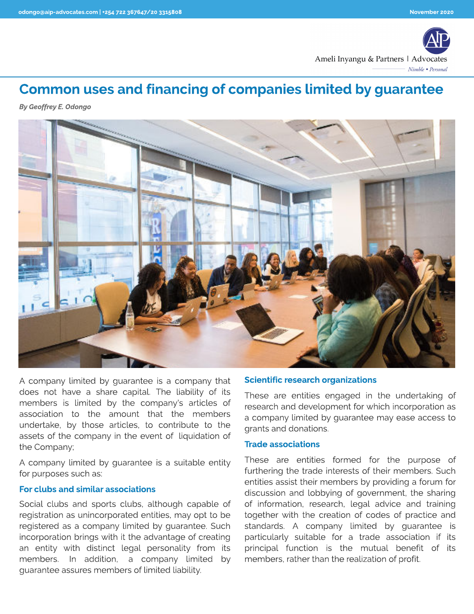

# Common uses and financing of companies limited by guarantee

**By Geoffrey E. Odongo**



A company limited by guarantee is a company that does not have a share capital. The liability of its members is limited by the company's articles of association to the amount that the members undertake, by those articles, to contribute to the assets of the company in the event of liquidation of the Company;

A company limited by guarantee is a suitable entity for purposes such as:

### For clubs and similar associations

Social clubs and sports clubs, although capable of registration as unincorporated entities, may opt to be registered as a company limited by guarantee. Such incorporation brings with it the advantage of creating an entity with distinct legal personality from its members. In addition, a company limited by guarantee assures members of limited liability.

### Scientific research organizations

These are entities engaged in the undertaking of research and development for which incorporation as a company limited by guarantee may ease access to grants and donations.

#### Trade associations

These are entities formed for the purpose of furthering the trade interests of their members. Such entities assist their members by providing a forum for discussion and lobbying of government, the sharing of information, research, legal advice and training together with the creation of codes of practice and standards. A company limited by guarantee is particularly suitable for a trade association if its principal function is the mutual benefit of its members, rather than the realization of profit.